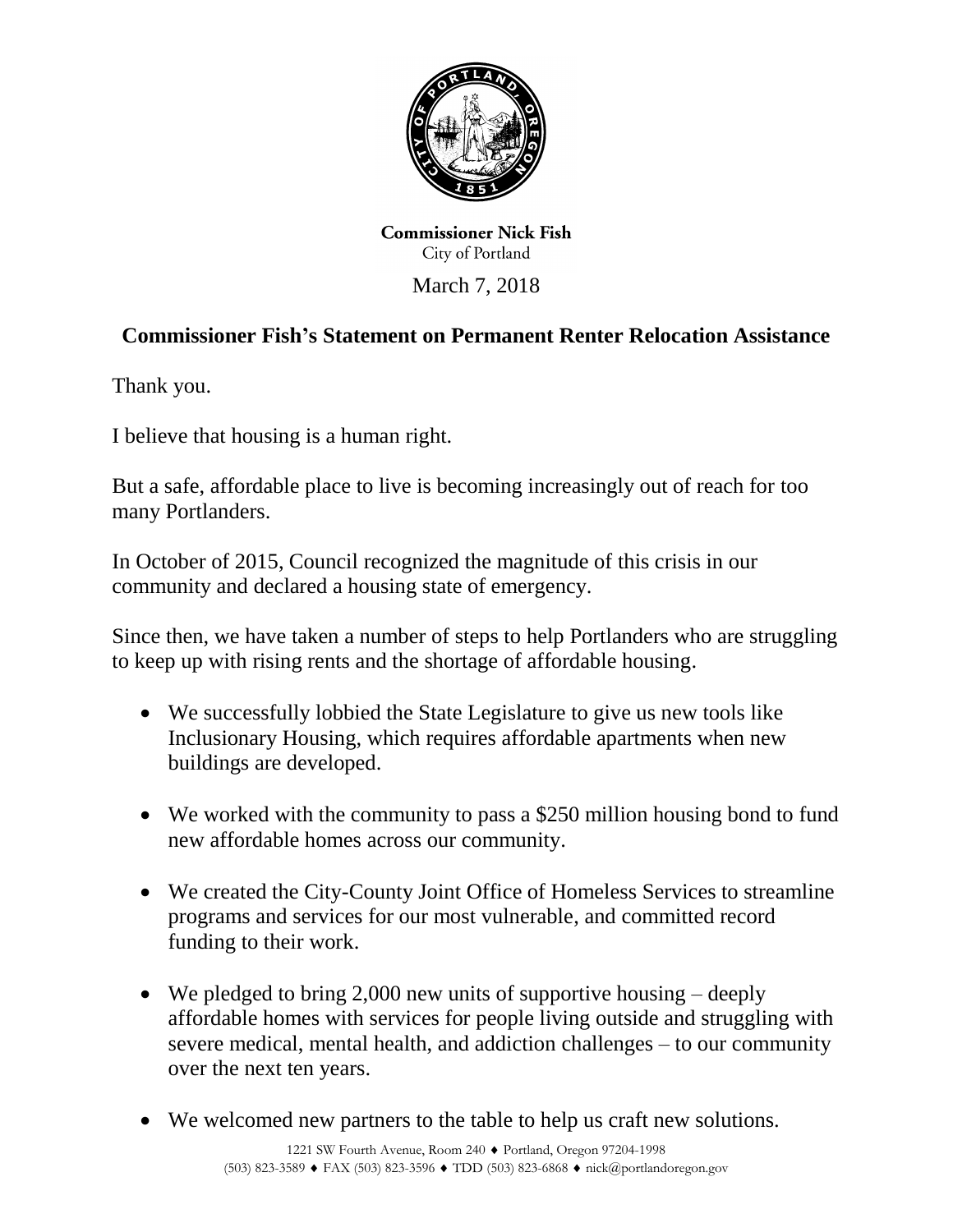

**Commissioner Nick Fish** City of Portland

March 7, 2018

## **Commissioner Fish's Statement on Permanent Renter Relocation Assistance**

Thank you.

I believe that housing is a human right.

But a safe, affordable place to live is becoming increasingly out of reach for too many Portlanders.

In October of 2015, Council recognized the magnitude of this crisis in our community and declared a housing state of emergency.

Since then, we have taken a number of steps to help Portlanders who are struggling to keep up with rising rents and the shortage of affordable housing.

- We successfully lobbied the State Legislature to give us new tools like Inclusionary Housing, which requires affordable apartments when new buildings are developed.
- We worked with the community to pass a \$250 million housing bond to fund new affordable homes across our community.
- We created the City-County Joint Office of Homeless Services to streamline programs and services for our most vulnerable, and committed record funding to their work.
- We pledged to bring 2,000 new units of supportive housing deeply affordable homes with services for people living outside and struggling with severe medical, mental health, and addiction challenges – to our community over the next ten years.
- We welcomed new partners to the table to help us craft new solutions.